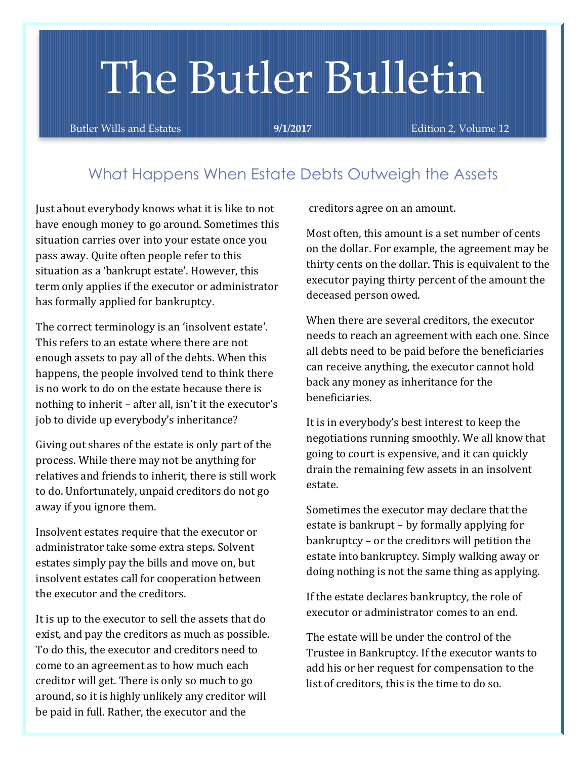# The Butler Bulletin

Butler Wills and Estates **9/1/2017** Edition 2, Volume 12

## Wh*a*t Happens When Estate Debts Outweigh the Assets

Just about everybody knows what it is like to not have enough money to go around. Sometimes this situation carries over into your estate once you pass away. Quite often people refer to this situation as a 'bankrupt estate'. However, this term only applies if the executor or administrator has formally applied for bankruptcy.

The correct terminology is an 'insolvent estate'. This refers to an estate where there are not enough assets to pay all of the debts. When this happens, the people involved tend to think there is no work to do on the estate because there is nothing to inherit – after all, isn't it the executor's job to divide up everybody's inheritance?

Giving out shares of the estate is only part of the process. While there may not be anything for relatives and friends to inherit, there is still work to do. Unfortunately, unpaid creditors do not go away if you ignore them.

Insolvent estates require that the executor or administrator take some extra steps. Solvent estates simply pay the bills and move on, but insolvent estates call for cooperation between the executor and the creditors.

It is up to the executor to sell the assets that do exist, and pay the creditors as much as possible. To do this, the executor and creditors need to come to an agreement as to how much each creditor will get. There is only so much to go around, so it is highly unlikely any creditor will be paid in full. Rather, the executor and the

creditors agree on an amount.

Most often, this amount is a set number of cents on the dollar. For example, the agreement may be thirty cents on the dollar. This is equivalent to the executor paying thirty percent of the amount the deceased person owed.

When there are several creditors, the executor needs to reach an agreement with each one. Since all debts need to be paid before the beneficiaries can receive anything, the executor cannot hold back any money as inheritance for the beneficiaries.

It is in everybody's best interest to keep the negotiations running smoothly. We all know that going to court is expensive, and it can quickly drain the remaining few assets in an insolvent estate.

Sometimes the executor may declare that the estate is bankrupt – by formally applying for bankruptcy – or the creditors will petition the estate into bankruptcy. Simply walking away or doing nothing is not the same thing as applying.

If the estate declares bankruptcy, the role of executor or administrator comes to an end.

The estate will be under the control of the Trustee in Bankruptcy. If the executor wants to add his or her request for compensation to the list of creditors, this is the time to do so.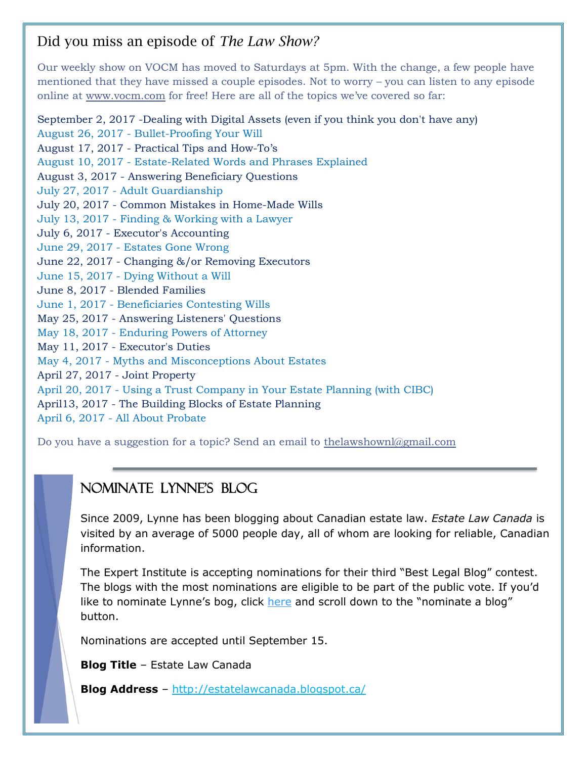## Did you miss an episode of *The Law Show?*

Our weekly show on VOCM has moved to Saturdays at 5pm. With the change, a few people have mentioned that they have missed a couple episodes. Not to worry – you can listen to any episode online at [www.vocm.com](http://www.vocm.com/) for free! Here are all of the topics we've covered so far:

September 2, 2017 -Dealing with Digital Assets (even if you think you don't have any) August 26, 2017 - Bullet-Proofing Your Will August 17, 2017 - Practical Tips and How-To's August 10, 2017 - Estate-Related Words and Phrases Explained August 3, 2017 - Answering Beneficiary Questions July 27, 2017 - Adult Guardianship July 20, 2017 - Common Mistakes in Home-Made Wills July 13, 2017 - Finding & Working with a Lawyer July 6, 2017 - Executor's Accounting June 29, 2017 - Estates Gone Wrong June 22, 2017 - Changing &/or Removing Executors June 15, 2017 - Dying Without a Will June 8, 2017 - Blended Families June 1, 2017 - Beneficiaries Contesting Wills May 25, 2017 - Answering Listeners' Questions May 18, 2017 - Enduring Powers of Attorney May 11, 2017 - Executor's Duties May 4, 2017 - Myths and Misconceptions About Estates April 27, 2017 - Joint Property April 20, 2017 - Using a Trust Company in Your Estate Planning (with CIBC) April13, 2017 - The Building Blocks of Estate Planning April 6, 2017 - All About Probate

Do you have a suggestion for a topic? Send an email to [thelawshownl@gmail.com](mailto:thelawshownl@gmail.com)

## Nominate Lynne's Blog

Since 2009, Lynne has been blogging about Canadian estate law. *Estate Law Canada* is visited by an average of 5000 people day, all of whom are looking for reliable, Canadian information.

The Expert Institute is accepting nominations for their third "Best Legal Blog" contest. The blogs with the most nominations are eligible to be part of the public vote. If you'd like to nominate Lynne's bog, click [here](https://www.theexpertinstitute.com/blog-contest/?utm_source=email&utm_medium=email&utm_content=in-body-link&utm_campaign=blog-contest-8.14.2017-general) and scroll down to the "nominate a blog" button.

Nominations are accepted until September 15.

**Blog Title** – Estate Law Canada

**Blog Address** – <http://estatelawcanada.blogspot.ca/>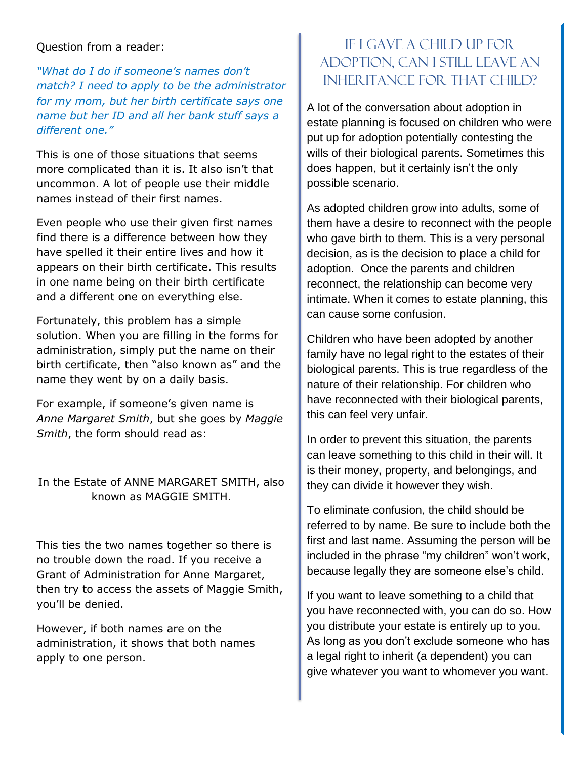#### Question from a reader:

*"What do I do if someone's names don't match? I need to apply to be the administrator for my mom, but her birth certificate says one name but her ID and all her bank stuff says a different one."*

This is one of those situations that seems more complicated than it is. It also isn't that uncommon. A lot of people use their middle names instead of their first names.

Even people who use their given first names find there is a difference between how they have spelled it their entire lives and how it appears on their birth certificate. This results in one name being on their birth certificate and a different one on everything else.

Fortunately, this problem has a simple solution. When you are filling in the forms for administration, simply put the name on their birth certificate, then "also known as" and the name they went by on a daily basis.

For example, if someone's given name is *Anne Margaret Smith*, but she goes by *Maggie Smith*, the form should read as:

In the Estate of ANNE MARGARET SMITH, also known as MAGGIE SMITH.

This ties the two names together so there is no trouble down the road. If you receive a Grant of Administration for Anne Margaret, then try to access the assets of Maggie Smith, you'll be denied.

However, if both names are on the administration, it shows that both names apply to one person.

## If I gave a child up for adoption, can I still leave an inheritance for that child?

A lot of the conversation about adoption in estate planning is focused on children who were put up for adoption potentially contesting the wills of their biological parents. Sometimes this does happen, but it certainly isn't the only possible scenario.

As adopted children grow into adults, some of them have a desire to reconnect with the people who gave birth to them. This is a very personal decision, as is the decision to place a child for adoption. Once the parents and children reconnect, the relationship can become very intimate. When it comes to estate planning, this can cause some confusion.

Children who have been adopted by another family have no legal right to the estates of their biological parents. This is true regardless of the nature of their relationship. For children who have reconnected with their biological parents, this can feel very unfair.

In order to prevent this situation, the parents can leave something to this child in their will. It is their money, property, and belongings, and they can divide it however they wish.

To eliminate confusion, the child should be referred to by name. Be sure to include both the first and last name. Assuming the person will be included in the phrase "my children" won't work, because legally they are someone else's child.

If you want to leave something to a child that you have reconnected with, you can do so. How you distribute your estate is entirely up to you. As long as you don't exclude someone who has a legal right to inherit (a dependent) you can give whatever you want to whomever you want.